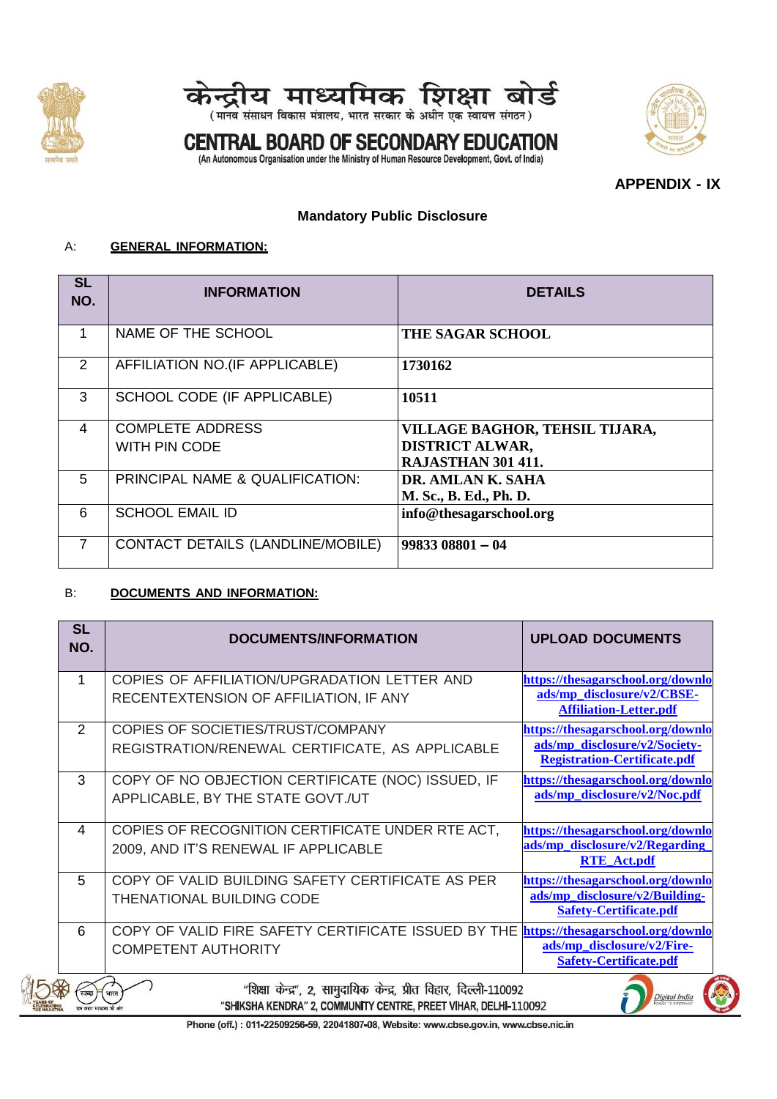



(मानव संसाधन विकास मंत्रालय, भारत सरकार के अधीन एक स्वायत्त संगठन)

### **CENTRAL BOARD OF SECONDARY EDUCATION**



(An Autonomous Organisation under the Ministry of Human Resource Development, Govt. of India)

**APPENDIX - IX**

#### **Mandatory Public Disclosure**

#### A: **GENERAL INFORMATION:**

| <b>SL</b><br>NO.       | <b>INFORMATION</b>                | <b>DETAILS</b>                 |
|------------------------|-----------------------------------|--------------------------------|
| 1                      | NAME OF THE SCHOOL                | <b>THE SAGAR SCHOOL</b>        |
| 2                      | AFFILIATION NO.(IF APPLICABLE)    | 1730162                        |
| 3                      | SCHOOL CODE (IF APPLICABLE)       | 10511                          |
| $\boldsymbol{\Lambda}$ | <b>COMPLETE ADDRESS</b>           | VILLAGE BAGHOR, TEHSIL TIJARA, |
|                        | WITH PIN CODE                     | <b>DISTRICT ALWAR,</b>         |
|                        |                                   | <b>RAJASTHAN 301 411.</b>      |
| 5                      | PRINCIPAL NAME & QUALIFICATION:   | DR. AMLAN K. SAHA              |
|                        |                                   | M. Sc., B. Ed., Ph. D.         |
| 6                      | <b>SCHOOL EMAIL ID</b>            | info@thesagarschool.org        |
| $\overline{7}$         | CONTACT DETAILS (LANDLINE/MOBILE) | $9983308801 - 04$              |

#### B: **DOCUMENTS AND INFORMATION:**

| <b>SL</b><br>NO. | <b>DOCUMENTS/INFORMATION</b>                                                                                                          | <b>UPLOAD DOCUMENTS</b>                                              |
|------------------|---------------------------------------------------------------------------------------------------------------------------------------|----------------------------------------------------------------------|
| 1                | COPIES OF AFFILIATION/UPGRADATION LETTER AND                                                                                          | https://thesagarschool.org/downlo                                    |
|                  | RECENTEXTENSION OF AFFILIATION, IF ANY                                                                                                | ads/mp_disclosure/v2/CBSE-<br><b>Affiliation-Letter.pdf</b>          |
| 2                | COPIES OF SOCIETIES/TRUST/COMPANY                                                                                                     | https://thesagarschool.org/downlo                                    |
|                  | REGISTRATION/RENEWAL CERTIFICATE, AS APPLICABLE                                                                                       | ads/mp_disclosure/v2/Society-<br><b>Registration-Certificate.pdf</b> |
| 3                | COPY OF NO OBJECTION CERTIFICATE (NOC) ISSUED, IF                                                                                     | https://thesagarschool.org/downlo                                    |
|                  | APPLICABLE, BY THE STATE GOVT./UT                                                                                                     | ads/mp_disclosure/v2/Noc.pdf                                         |
| $\overline{4}$   | COPIES OF RECOGNITION CERTIFICATE UNDER RTE ACT,                                                                                      | https://thesagarschool.org/downlo                                    |
|                  | 2009, AND IT'S RENEWAL IF APPLICABLE                                                                                                  | ads/mp_disclosure/v2/Regarding<br><b>RTE_Act.pdf</b>                 |
| 5                | COPY OF VALID BUILDING SAFETY CERTIFICATE AS PER                                                                                      | https://thesagarschool.org/downlo                                    |
|                  | <b>THENATIONAL BUILDING CODE</b>                                                                                                      | ads/mp_disclosure/v2/Building-<br><b>Safety-Certificate.pdf</b>      |
| 6                | COPY OF VALID FIRE SAFETY CERTIFICATE ISSUED BY THE                                                                                   | https://thesagarschool.org/downlo                                    |
|                  | <b>COMPETENT AUTHORITY</b>                                                                                                            | ads/mp_disclosure/v2/Fire-<br><b>Safety-Certificate.pdf</b>          |
|                  | "शिक्षा केन्द्र", 2, सामुदायिक केन्द्र, प्रीत विहार, दिल्ली-110092<br>"SHIKSHA KENDRA" 2. COMMUNITY CENTRE, PREET VIHAR, DELHI-110092 |                                                                      |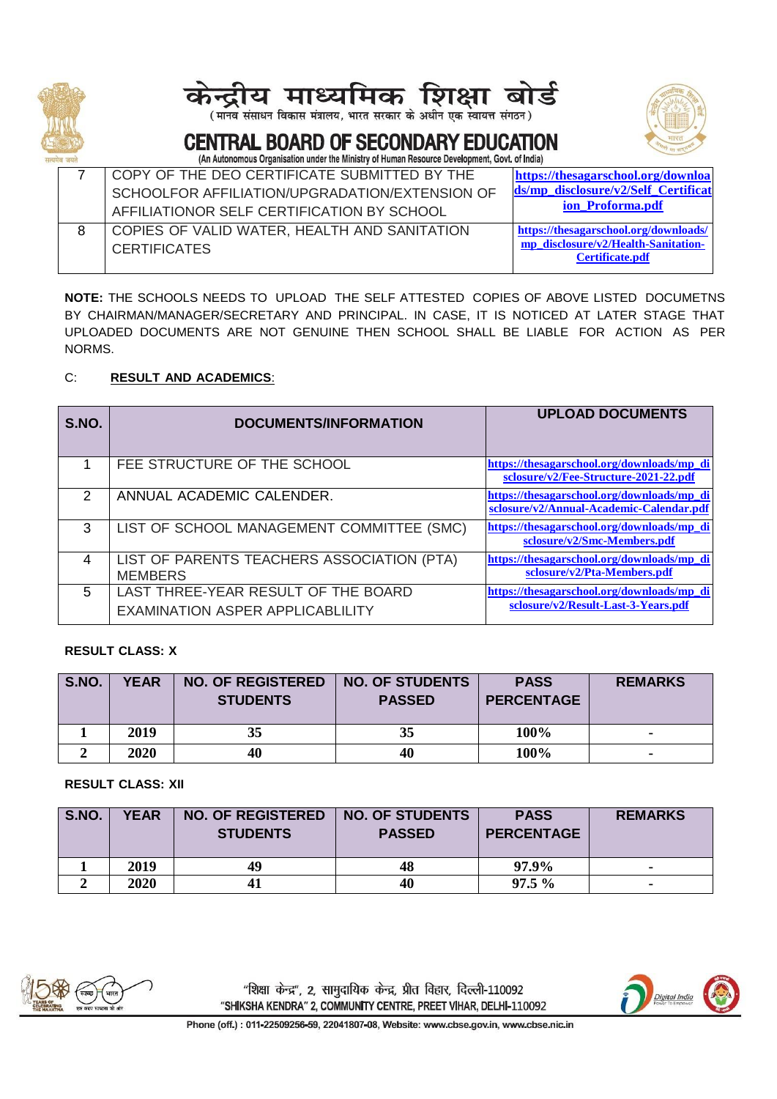

# माध्यमिक

(मानव संसाधन विकास मंत्रालय, भारत सरकार के अधीन एक स्वायत्त संगठन)



#### **CENTRAL BOARD OF SECONDARY EDUCATION** (An Autonomous Organisation under the Ministry of Human Resource Development, Govt, of India)

| COPY OF THE DEO CERTIFICATE SUBMITTED BY THE   | https://thesagarschool.org/downloa    |
|------------------------------------------------|---------------------------------------|
| SCHOOLFOR AFFILIATION/UPGRADATION/EXTENSION OF | ds/mp disclosure/v2/Self Certificat   |
| AFFILIATIONOR SELF CERTIFICATION BY SCHOOL     | ion Proforma.pdf                      |
| COPIES OF VALID WATER, HEALTH AND SANITATION   | https://thesagarschool.org/downloads/ |
| <b>CERTIFICATES</b>                            | mp_disclosure/v2/Health-Sanitation-   |
|                                                | <b>Certificate.pdf</b>                |

**NOTE:** THE SCHOOLS NEEDS TO UPLOAD THE SELF ATTESTED COPIES OF ABOVE LISTED DOCUMETNS BY CHAIRMAN/MANAGER/SECRETARY AND PRINCIPAL. IN CASE, IT IS NOTICED AT LATER STAGE THAT UPLOADED DOCUMENTS ARE NOT GENUINE THEN SCHOOL SHALL BE LIABLE FOR ACTION AS PER NORMS.

#### C: **RESULT AND ACADEMICS**:

| S.NO.         | <b>DOCUMENTS/INFORMATION</b>                                                   | <b>UPLOAD DOCUMENTS</b>                                                                |
|---------------|--------------------------------------------------------------------------------|----------------------------------------------------------------------------------------|
|               | FEE STRUCTURE OF THE SCHOOL                                                    | https://thesagarschool.org/downloads/mp di<br>sclosure/v2/Fee-Structure-2021-22.pdf    |
| $\mathcal{P}$ | ANNUAL ACADEMIC CALENDER.                                                      | https://thesagarschool.org/downloads/mp_di<br>sclosure/v2/Annual-Academic-Calendar.pdf |
| 3             | LIST OF SCHOOL MANAGEMENT COMMITTEE (SMC)                                      | https://thesagarschool.org/downloads/mp di<br>sclosure/v2/Smc-Members.pdf              |
| 4             | LIST OF PARENTS TEACHERS ASSOCIATION (PTA)<br><b>MEMBERS</b>                   | https://thesagarschool.org/downloads/mp_di<br>sclosure/v2/Pta-Members.pdf              |
| 5             | LAST THREE-YEAR RESULT OF THE BOARD<br><b>EXAMINATION ASPER APPLICABLILITY</b> | https://thesagarschool.org/downloads/mp di<br>sclosure/v2/Result-Last-3-Years.pdf      |

#### **RESULT CLASS: X**

| S.NO. | <b>YEAR</b> | <b>NO. OF REGISTERED</b><br><b>STUDENTS</b> | <b>NO. OF STUDENTS</b><br><b>PASSED</b> | <b>PASS</b><br><b>PERCENTAGE</b> | <b>REMARKS</b> |
|-------|-------------|---------------------------------------------|-----------------------------------------|----------------------------------|----------------|
|       | 2019        | 35                                          | 35                                      | 100%                             |                |
|       | 2020        | 40                                          | 40                                      | 100%                             |                |

#### **RESULT CLASS: XII**

| S.NO. | <b>YEAR</b> | <b>NO. OF REGISTERED</b><br><b>STUDENTS</b> | <b>NO. OF STUDENTS</b><br><b>PASSED</b> | <b>PASS</b><br><b>PERCENTAGE</b> | <b>REMARKS</b> |
|-------|-------------|---------------------------------------------|-----------------------------------------|----------------------------------|----------------|
|       | 2019        | 49                                          | 48                                      | 97.9%                            | ۰              |
|       | <b>2020</b> | 41                                          | 40                                      | $97.5\%$                         |                |



"शिक्षा केन्द्र", 2, सामुदायिक केन्द्र, प्रीत विहार, दिल्ली-110092 "SHIKSHA KENDRA" 2, COMMUNITY CENTRE, PREET VIHAR, DELHI-110092